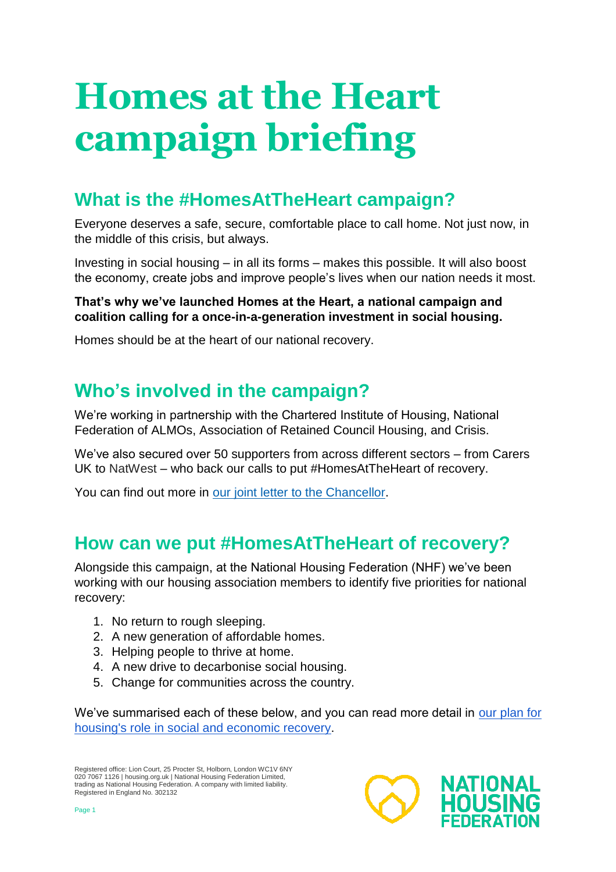# **Homes at the Heart campaign briefing**

## **What is the #HomesAtTheHeart campaign?**

Everyone deserves a safe, secure, comfortable place to call home. Not just now, in the middle of this crisis, but always.

Investing in social housing – in all its forms – makes this possible. It will also boost the economy, create jobs and improve people's lives when our nation needs it most.

#### **That's why we've launched Homes at the Heart, a national campaign and coalition calling for a once-in-a-generation investment in social housing.**

Homes should be at the heart of our national recovery.

## **Who's involved in the campaign?**

We're working in partnership with the Chartered Institute of Housing, National Federation of ALMOs, Association of Retained Council Housing, and Crisis.

We've also secured over 50 supporters from across different sectors – from Carers UK to NatWest – who back our calls to put #HomesAtTheHeart of recovery.

You can find out more in our [joint letter to the Chancellor.](http://www.housing.org.uk/HomesAtTheHeart)

## **How can we put #HomesAtTheHeart of recovery?**

Alongside this campaign, at the National Housing Federation (NHF) we've been working with our housing association members to identify five priorities for national recovery:

- 1. No return to rough sleeping.
- 2. A new generation of affordable homes.
- 3. Helping people to thrive at home.
- 4. A new drive to decarbonise social housing.
- 5. Change for communities across the country.

We've summarised each of these below, and you can read more detail in [our plan](https://www.housing.org.uk/resources/coronavirus-social-economic-recovery/) for [housing's role in social and economic recovery.](https://www.housing.org.uk/resources/coronavirus-social-economic-recovery/)

Registered office: Lion Court, 25 Procter St, Holborn, London WC1V 6NY 020 7067 1126 | housing.org.uk | National Housing Federation Limited, trading as National Housing Federation. A company with limited liability. Registered in England No. 302132

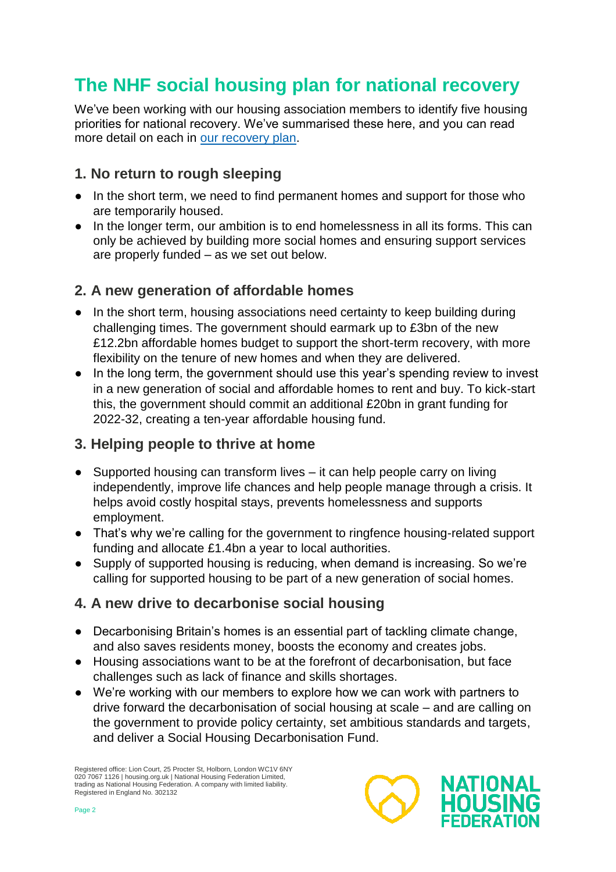## **The NHF social housing plan for national recovery**

We've been working with our housing association members to identify five housing priorities for national recovery. We've summarised these here, and you can read more detail on each in [our recovery plan.](https://www.housing.org.uk/resources/coronavirus-social-economic-recovery/)

#### **1. No return to rough sleeping**

- In the short term, we need to find permanent homes and support for those who are temporarily housed.
- In the longer term, our ambition is to end homelessness in all its forms. This can only be achieved by building more social homes and ensuring support services are properly funded – as we set out below.

#### **2. A new generation of affordable homes**

- In the short term, housing associations need certainty to keep building during challenging times. The government should earmark up to £3bn of the new £12.2bn affordable homes budget to support the short-term recovery, with more flexibility on the tenure of new homes and when they are delivered.
- In the long term, the government should use this year's spending review to invest in a new generation of social and affordable homes to rent and buy. To kick-start this, the government should commit an additional £20bn in grant funding for 2022-32, creating a ten-year affordable housing fund.

#### **3. Helping people to thrive at home**

- Supported housing can transform lives it can help people carry on living independently, improve life chances and help people manage through a crisis. It helps avoid costly hospital stays, prevents homelessness and supports employment.
- That's why we're calling for the government to ringfence housing-related support funding and allocate £1.4bn a year to local authorities.
- Supply of supported housing is reducing, when demand is increasing. So we're calling for supported housing to be part of a new generation of social homes.

### **4. A new drive to decarbonise social housing**

- Decarbonising Britain's homes is an essential part of tackling climate change, and also saves residents money, boosts the economy and creates jobs.
- Housing associations want to be at the forefront of decarbonisation, but face challenges such as lack of finance and skills shortages.
- We're working with our members to explore how we can work with partners to drive forward the decarbonisation of social housing at scale – and are calling on the government to provide policy certainty, set ambitious standards and targets, and deliver a Social Housing Decarbonisation Fund.

Registered office: Lion Court, 25 Procter St, Holborn, London WC1V 6NY 020 7067 1126 | housing.org.uk | National Housing Federation Limited, trading as National Housing Federation. A company with limited liability. Registered in England No. 302132